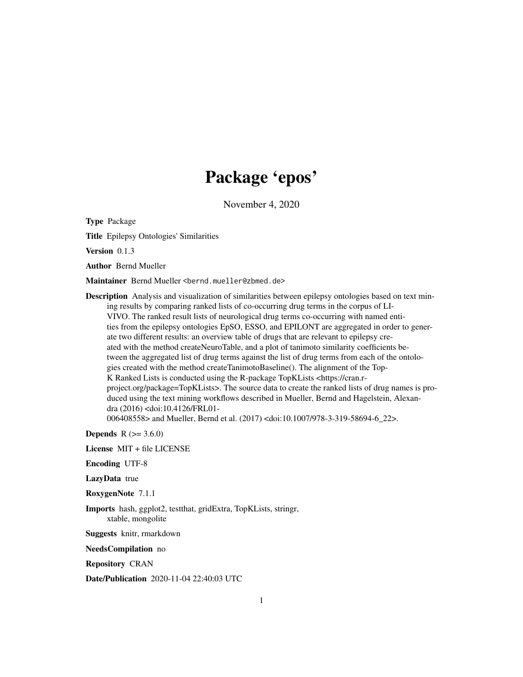# Package 'epos'

November 4, 2020

Type Package

Title Epilepsy Ontologies' Similarities

Version 0.1.3

Author Bernd Mueller

Maintainer Bernd Mueller <bernd.mueller@zbmed.de>

Description Analysis and visualization of similarities between epilepsy ontologies based on text mining results by comparing ranked lists of co-occurring drug terms in the corpus of LI-VIVO. The ranked result lists of neurological drug terms co-occurring with named entities from the epilepsy ontologies EpSO, ESSO, and EPILONT are aggregated in order to generate two different results: an overview table of drugs that are relevant to epilepsy created with the method createNeuroTable, and a plot of tanimoto similarity coefficients between the aggregated list of drug terms against the list of drug terms from each of the ontologies created with the method createTanimotoBaseline(). The alignment of the Top-K Ranked Lists is conducted using the R-package TopKLists <https://cran.rproject.org/package=TopKLists>. The source data to create the ranked lists of drug names is produced using the text mining workflows described in Mueller, Bernd and Hagelstein, Alexandra (2016) <doi:10.4126/FRL01- 006408558> and Mueller, Bernd et al. (2017) <doi:10.1007/978-3-319-58694-6\_22>.

**Depends**  $R (= 3.6.0)$ 

License MIT + file LICENSE

Encoding UTF-8

LazyData true

RoxygenNote 7.1.1

Imports hash, ggplot2, testthat, gridExtra, TopKLists, stringr, xtable, mongolite

Suggests knitr, rmarkdown

NeedsCompilation no

Repository CRAN

Date/Publication 2020-11-04 22:40:03 UTC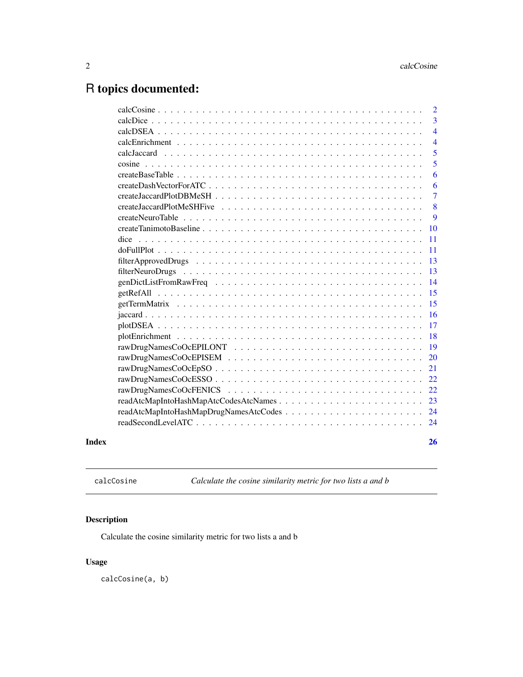# <span id="page-1-0"></span>R topics documented:

|       |                                        | $\overline{2}$ |
|-------|----------------------------------------|----------------|
|       |                                        | 3              |
|       |                                        | $\overline{4}$ |
|       |                                        | $\overline{4}$ |
|       |                                        | 5              |
|       |                                        | 5              |
|       |                                        | 6              |
|       |                                        | 6              |
|       |                                        | $\overline{7}$ |
|       |                                        | 8              |
|       |                                        | 9              |
|       |                                        | 10             |
|       | dice                                   | 11             |
|       |                                        | 11             |
|       |                                        | 13             |
|       |                                        | 13             |
|       |                                        | 14             |
|       |                                        | 15             |
|       |                                        | 15             |
|       |                                        | 16             |
|       |                                        | 17             |
|       |                                        | 18             |
|       |                                        | 19             |
|       |                                        | 20             |
|       |                                        | 21             |
|       |                                        | 22             |
|       |                                        | 22             |
|       | readAtcMapIntoHashMapAtcCodesAtcNames  | 23             |
|       | readAtcMapIntoHashMapDrugNamesAtcCodes | 24             |
|       |                                        |                |
|       |                                        |                |
| Index |                                        | 26             |

calcCosine *Calculate the cosine similarity metric for two lists a and b*

# Description

Calculate the cosine similarity metric for two lists a and b

# Usage

calcCosine(a, b)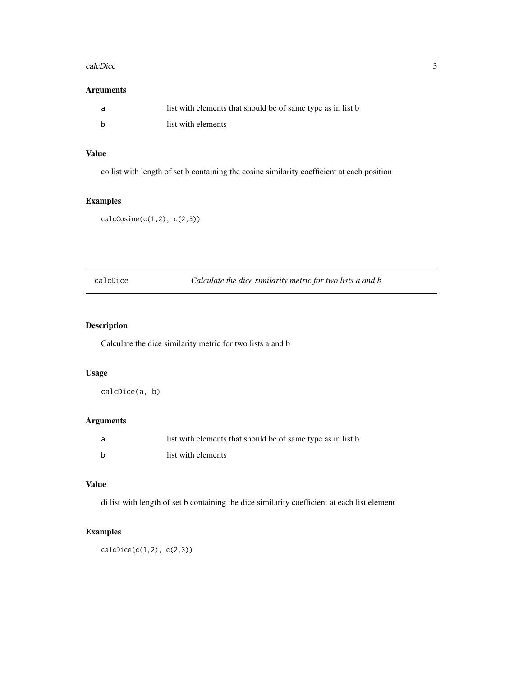#### <span id="page-2-0"></span>calcDice 3

# Arguments

| list with elements that should be of same type as in list b |
|-------------------------------------------------------------|
| list with elements                                          |

# Value

co list with length of set b containing the cosine similarity coefficient at each position

# Examples

```
calcCosine(c(1,2), c(2,3))
```
calcDice *Calculate the dice similarity metric for two lists a and b*

# Description

Calculate the dice similarity metric for two lists a and b

#### Usage

calcDice(a, b)

# Arguments

| list with elements that should be of same type as in list b |
|-------------------------------------------------------------|
| list with elements                                          |

# Value

di list with length of set b containing the dice similarity coefficient at each list element

# Examples

 $calcDice(c(1,2), c(2,3))$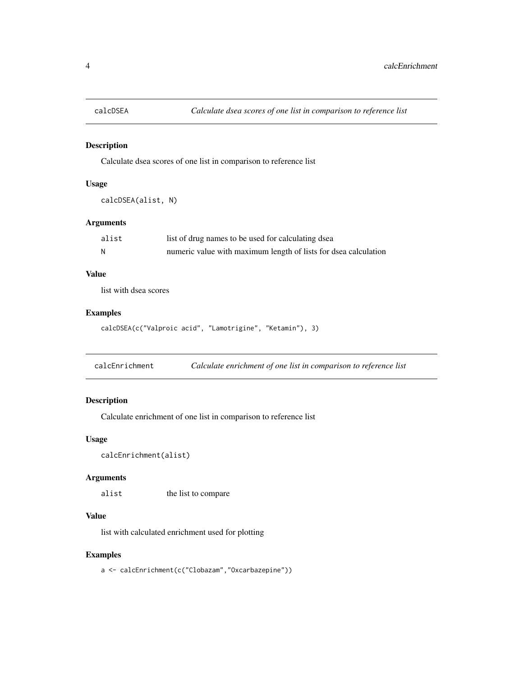<span id="page-3-0"></span>

Calculate dsea scores of one list in comparison to reference list

# Usage

calcDSEA(alist, N)

# Arguments

| alist | list of drug names to be used for calculating dsea              |
|-------|-----------------------------------------------------------------|
|       | numeric value with maximum length of lists for dsea calculation |

# Value

list with dsea scores

# Examples

calcDSEA(c("Valproic acid", "Lamotrigine", "Ketamin"), 3)

calcEnrichment *Calculate enrichment of one list in comparison to reference list*

# Description

Calculate enrichment of one list in comparison to reference list

# Usage

```
calcEnrichment(alist)
```
#### Arguments

alist the list to compare

# Value

list with calculated enrichment used for plotting

# Examples

a <- calcEnrichment(c("Clobazam","Oxcarbazepine"))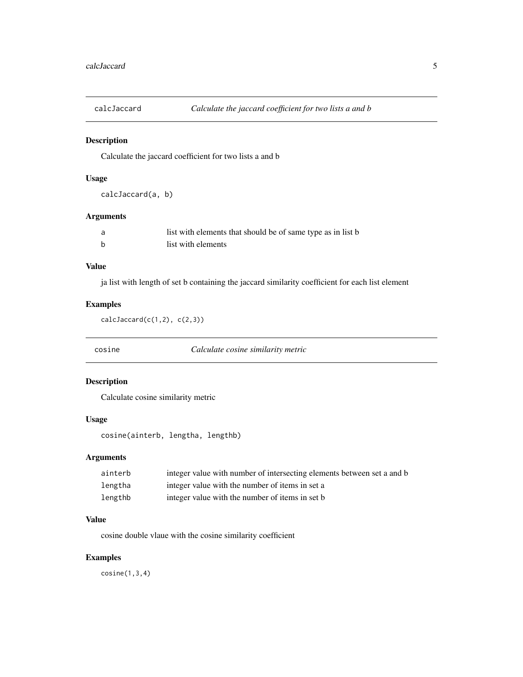<span id="page-4-0"></span>

Calculate the jaccard coefficient for two lists a and b

# Usage

calcJaccard(a, b)

# Arguments

| list with elements that should be of same type as in list b |
|-------------------------------------------------------------|
| list with elements                                          |

#### Value

ja list with length of set b containing the jaccard similarity coefficient for each list element

# Examples

```
calCarcard(c(1,2), c(2,3))
```
cosine *Calculate cosine similarity metric*

# Description

Calculate cosine similarity metric

# Usage

cosine(ainterb, lengtha, lengthb)

# Arguments

| ainterb | integer value with number of intersecting elements between set a and b |
|---------|------------------------------------------------------------------------|
| lengtha | integer value with the number of items in set a                        |
| lengthb | integer value with the number of items in set b                        |

#### Value

cosine double vlaue with the cosine similarity coefficient

# Examples

cosine(1,3,4)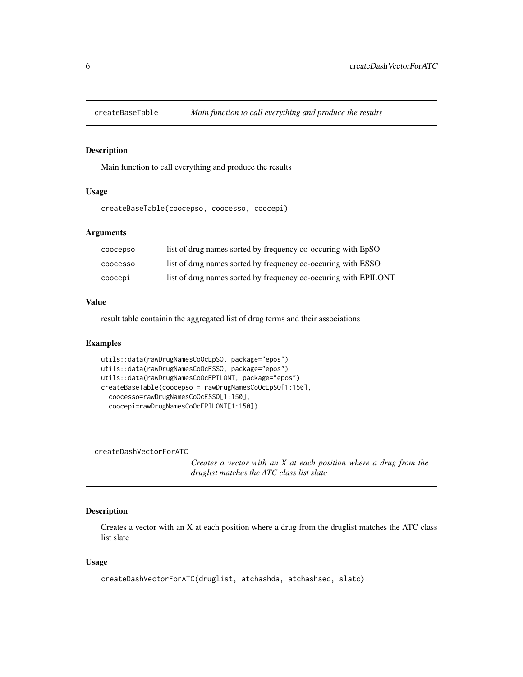<span id="page-5-0"></span>

Main function to call everything and produce the results

#### Usage

createBaseTable(coocepso, coocesso, coocepi)

# **Arguments**

| coocepso        | list of drug names sorted by frequency co-occuring with EpSO    |
|-----------------|-----------------------------------------------------------------|
| <b>COOCESSO</b> | list of drug names sorted by frequency co-occuring with ESSO    |
| coocepi         | list of drug names sorted by frequency co-occuring with EPILONT |

#### Value

result table containin the aggregated list of drug terms and their associations

# Examples

```
utils::data(rawDrugNamesCoOcEpSO, package="epos")
utils::data(rawDrugNamesCoOcESSO, package="epos")
utils::data(rawDrugNamesCoOcEPILONT, package="epos")
createBaseTable(coocepso = rawDrugNamesCoOcEpSO[1:150],
  coocesso=rawDrugNamesCoOcESSO[1:150],
  coocepi=rawDrugNamesCoOcEPILONT[1:150])
```
createDashVectorForATC

*Creates a vector with an X at each position where a drug from the druglist matches the ATC class list slatc*

# Description

Creates a vector with an X at each position where a drug from the druglist matches the ATC class list slatc

#### Usage

```
createDashVectorForATC(druglist, atchashda, atchashsec, slatc)
```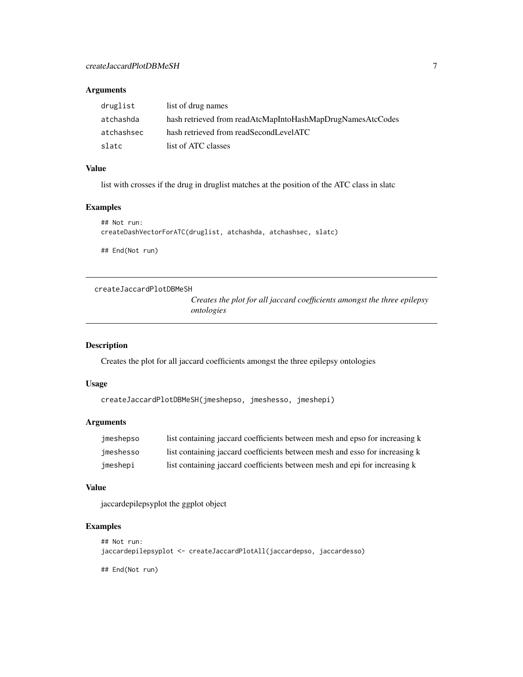# <span id="page-6-0"></span>Arguments

| druglist   | list of drug names                                         |
|------------|------------------------------------------------------------|
| atchashda  | hash retrieved from readAtcMapIntoHashMapDrugNamesAtcCodes |
| atchashsec | hash retrieved from readSecondLevelATC                     |
| slatc      | list of ATC classes                                        |

## Value

list with crosses if the drug in druglist matches at the position of the ATC class in slatc

# Examples

```
## Not run:
createDashVectorForATC(druglist, atchashda, atchashsec, slatc)
## End(Not run)
```
createJaccardPlotDBMeSH

*Creates the plot for all jaccard coefficients amongst the three epilepsy ontologies*

# Description

Creates the plot for all jaccard coefficients amongst the three epilepsy ontologies

#### Usage

```
createJaccardPlotDBMeSH(jmeshepso, jmeshesso, jmeshepi)
```
# Arguments

| imeshepso | list containing jaccard coefficients between mesh and epso for increasing k |
|-----------|-----------------------------------------------------------------------------|
| jmeshesso | list containing jaccard coefficients between mesh and esso for increasing k |
| imeshepi  | list containing jaccard coefficients between mesh and epi for increasing k  |

#### Value

jaccardepilepsyplot the ggplot object

# Examples

```
## Not run:
jaccardepilepsyplot <- createJaccardPlotAll(jaccardepso, jaccardesso)
```
## End(Not run)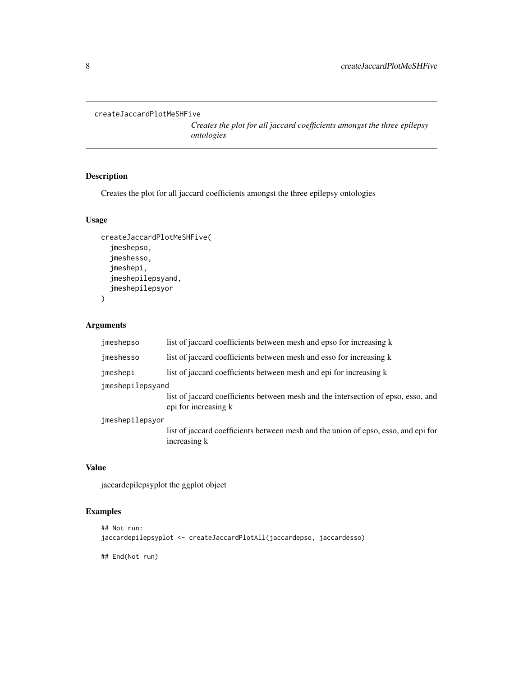```
createJaccardPlotMeSHFive
```
*Creates the plot for all jaccard coefficients amongst the three epilepsy ontologies*

# Description

Creates the plot for all jaccard coefficients amongst the three epilepsy ontologies

# Usage

```
createJaccardPlotMeSHFive(
  jmeshepso,
  jmeshesso,
  jmeshepi,
  jmeshepilepsyand,
  jmeshepilepsyor
\mathcal{E}
```
# Arguments

| list of jaccard coefficients between mesh and epso for increasing k                                       |  |  |
|-----------------------------------------------------------------------------------------------------------|--|--|
| list of jaccard coefficients between mesh and esso for increasing k                                       |  |  |
| list of jaccard coefficients between mesh and epi for increasing k                                        |  |  |
| jmeshepilepsyand                                                                                          |  |  |
| list of jaccard coefficients between mesh and the intersection of epso, esso, and<br>epi for increasing k |  |  |
| jmeshepilepsyor                                                                                           |  |  |
| list of jaccard coefficients between mesh and the union of epso, esso, and epi for<br>increasing k        |  |  |
|                                                                                                           |  |  |

# Value

jaccardepilepsyplot the ggplot object

### Examples

```
## Not run:
jaccardepilepsyplot <- createJaccardPlotAll(jaccardepso, jaccardesso)
```
## End(Not run)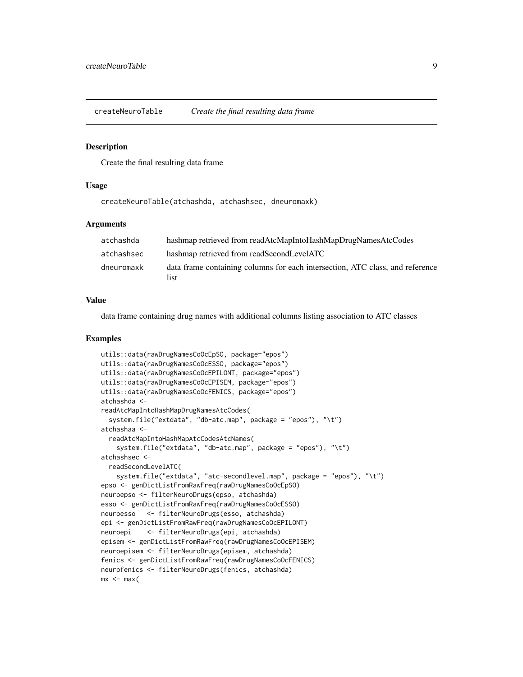<span id="page-8-0"></span>createNeuroTable *Create the final resulting data frame*

#### **Description**

Create the final resulting data frame

#### Usage

createNeuroTable(atchashda, atchashsec, dneuromaxk)

#### Arguments

| atchashda  | hashmap retrieved from readAtcMapIntoHashMapDrugNamesAtcCodes                         |
|------------|---------------------------------------------------------------------------------------|
| atchashsec | hashmap retrieved from readSecondLevelATC                                             |
| dneuromaxk | data frame containing columns for each intersection, ATC class, and reference<br>list |

## Value

data frame containing drug names with additional columns listing association to ATC classes

```
utils::data(rawDrugNamesCoOcEpSO, package="epos")
utils::data(rawDrugNamesCoOcESSO, package="epos")
utils::data(rawDrugNamesCoOcEPILONT, package="epos")
utils::data(rawDrugNamesCoOcEPISEM, package="epos")
utils::data(rawDrugNamesCoOcFENICS, package="epos")
atchashda <-
readAtcMapIntoHashMapDrugNamesAtcCodes(
 system.file("extdata", "db-atc.map", package = "epos"), "\t")
atchashaa <-
 readAtcMapIntoHashMapAtcCodesAtcNames(
    system.file("extdata", "db-atc.map", package = "epos"), "\t")
atchashsec <-
 readSecondLevelATC(
    system.file("extdata", "atc-secondlevel.map", package = "epos"), "\t")
epso <- genDictListFromRawFreq(rawDrugNamesCoOcEpSO)
neuroepso <- filterNeuroDrugs(epso, atchashda)
esso <- genDictListFromRawFreq(rawDrugNamesCoOcESSO)
neuroesso <- filterNeuroDrugs(esso, atchashda)
epi <- genDictListFromRawFreq(rawDrugNamesCoOcEPILONT)
neuroepi <- filterNeuroDrugs(epi, atchashda)
episem <- genDictListFromRawFreq(rawDrugNamesCoOcEPISEM)
neuroepisem <- filterNeuroDrugs(episem, atchashda)
fenics <- genDictListFromRawFreq(rawDrugNamesCoOcFENICS)
neurofenics <- filterNeuroDrugs(fenics, atchashda)
mx \le - max(
```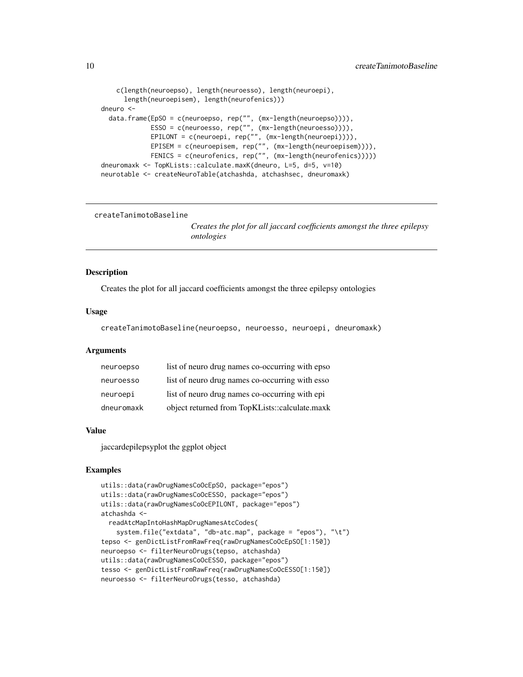```
c(length(neuroepso), length(neuroesso), length(neuroepi),
      length(neuroepisem), length(neurofenics)))
dneuro <-
 data.frame(EpSO = c(neuroepso, rep("", (mx-length(neuroepso)))),
             ESSO = c(neuroesso, rep("", (mx-length(neuroesso)))),
             EPILONT = c(neuroepi, rep("", (mx-length(neuroepi)))),
             EPISEM = c(neuroepisem, rep("", (mx-length(neuroepisem)))),
             FENICS = c(neurofenics, rep("", (mx-length(neurofenics)))))
dneuromaxk <- TopKLists::calculate.maxK(dneuro, L=5, d=5, v=10)
neurotable <- createNeuroTable(atchashda, atchashsec, dneuromaxk)
```
createTanimotoBaseline

*Creates the plot for all jaccard coefficients amongst the three epilepsy ontologies*

#### Description

Creates the plot for all jaccard coefficients amongst the three epilepsy ontologies

#### Usage

createTanimotoBaseline(neuroepso, neuroesso, neuroepi, dneuromaxk)

#### Arguments

| neuroepso  | list of neuro drug names co-occurring with epso |
|------------|-------------------------------------------------|
| neuroesso  | list of neuro drug names co-occurring with esso |
| neuroepi   | list of neuro drug names co-occurring with epi  |
| dneuromaxk | object returned from TopKLists::calculate.maxk  |

#### Value

jaccardepilepsyplot the ggplot object

```
utils::data(rawDrugNamesCoOcEpSO, package="epos")
utils::data(rawDrugNamesCoOcESSO, package="epos")
utils::data(rawDrugNamesCoOcEPILONT, package="epos")
atchashda <-
  readAtcMapIntoHashMapDrugNamesAtcCodes(
    system.file("extdata", "db-atc.map", package = "epos"), "\t")
tepso <- genDictListFromRawFreq(rawDrugNamesCoOcEpSO[1:150])
neuroepso <- filterNeuroDrugs(tepso, atchashda)
utils::data(rawDrugNamesCoOcESSO, package="epos")
tesso <- genDictListFromRawFreq(rawDrugNamesCoOcESSO[1:150])
neuroesso <- filterNeuroDrugs(tesso, atchashda)
```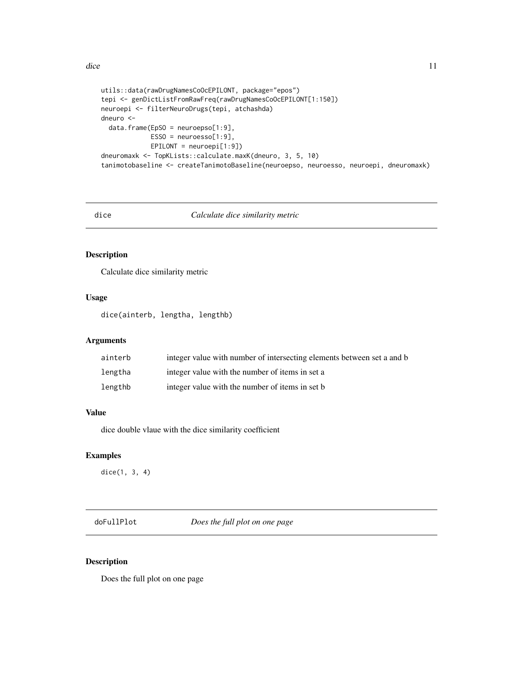```
utils::data(rawDrugNamesCoOcEPILONT, package="epos")
tepi <- genDictListFromRawFreq(rawDrugNamesCoOcEPILONT[1:150])
neuroepi <- filterNeuroDrugs(tepi, atchashda)
dneuro <-
  data.frame(EpSO = neuroepso[1:9],
             ESSO = neuroesso[1:9],
             EPILONT = neuroepi[1:9])
dneuromaxk <- TopKLists::calculate.maxK(dneuro, 3, 5, 10)
tanimotobaseline <- createTanimotoBaseline(neuroepso, neuroesso, neuroepi, dneuromaxk)
```
dice *Calculate dice similarity metric*

# Description

Calculate dice similarity metric

#### Usage

dice(ainterb, lengtha, lengthb)

#### Arguments

| ainterb | integer value with number of intersecting elements between set a and b |
|---------|------------------------------------------------------------------------|
| lengtha | integer value with the number of items in set a                        |
| lengthb | integer value with the number of items in set b                        |

#### Value

dice double vlaue with the dice similarity coefficient

# Examples

dice(1, 3, 4)

doFullPlot *Does the full plot on one page*

#### Description

Does the full plot on one page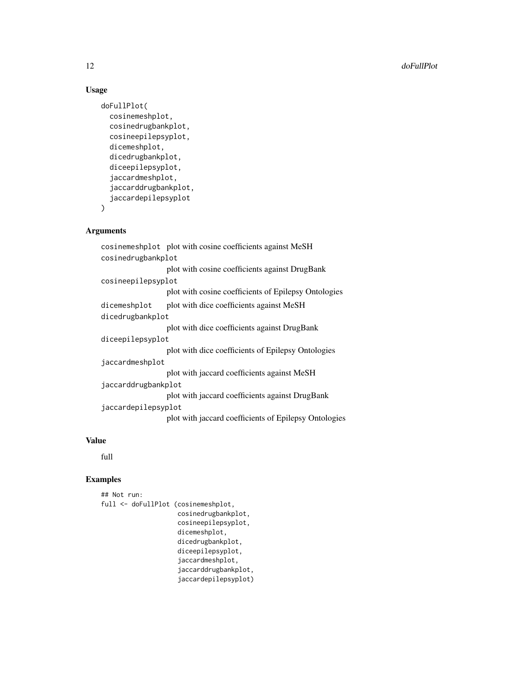#### Usage

```
doFullPlot(
 cosinemeshplot,
  cosinedrugbankplot,
  cosineepilepsyplot,
  dicemeshplot,
  dicedrugbankplot,
  diceepilepsyplot,
  jaccardmeshplot,
  jaccarddrugbankplot,
  jaccardepilepsyplot
)
```
# Arguments

cosinemeshplot plot with cosine coefficients against MeSH cosinedrugbankplot plot with cosine coefficients against DrugBank cosineepilepsyplot plot with cosine coefficients of Epilepsy Ontologies dicemeshplot plot with dice coefficients against MeSH dicedrugbankplot plot with dice coefficients against DrugBank diceepilepsyplot plot with dice coefficients of Epilepsy Ontologies jaccardmeshplot plot with jaccard coefficients against MeSH jaccarddrugbankplot plot with jaccard coefficients against DrugBank jaccardepilepsyplot plot with jaccard coefficients of Epilepsy Ontologies

# Value

full

```
## Not run:
full <- doFullPlot (cosinemeshplot,
                    cosinedrugbankplot,
                    cosineepilepsyplot,
                    dicemeshplot,
                    dicedrugbankplot,
                    diceepilepsyplot,
                    jaccardmeshplot,
                    jaccarddrugbankplot,
                    jaccardepilepsyplot)
```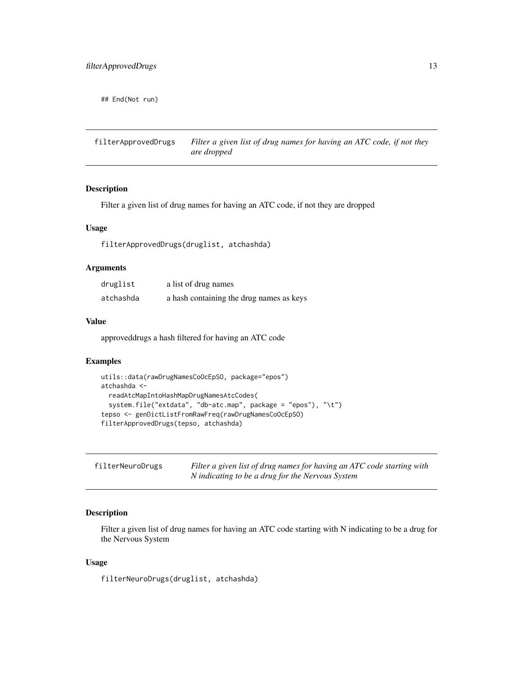<span id="page-12-0"></span>## End(Not run)

filterApprovedDrugs *Filter a given list of drug names for having an ATC code, if not they are dropped*

# Description

Filter a given list of drug names for having an ATC code, if not they are dropped

#### Usage

filterApprovedDrugs(druglist, atchashda)

# Arguments

| druglist  | a list of drug names                     |
|-----------|------------------------------------------|
| atchashda | a hash containing the drug names as keys |

## Value

approveddrugs a hash filtered for having an ATC code

#### Examples

```
utils::data(rawDrugNamesCoOcEpSO, package="epos")
atchashda <-
  readAtcMapIntoHashMapDrugNamesAtcCodes(
  system.file("extdata", "db-atc.map", package = "epos"), "\t")
tepso <- genDictListFromRawFreq(rawDrugNamesCoOcEpSO)
filterApprovedDrugs(tepso, atchashda)
```

| filterNeuroDrugs | Filter a given list of drug names for having an ATC code starting with |
|------------------|------------------------------------------------------------------------|
|                  | N indicating to be a drug for the Nervous System                       |

# Description

Filter a given list of drug names for having an ATC code starting with N indicating to be a drug for the Nervous System

#### Usage

filterNeuroDrugs(druglist, atchashda)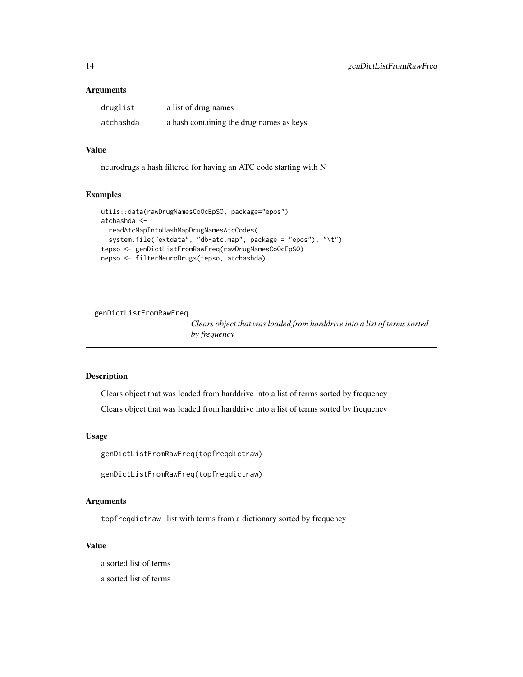#### <span id="page-13-0"></span>**Arguments**

| druglist  | a list of drug names                     |
|-----------|------------------------------------------|
| atchashda | a hash containing the drug names as keys |

# Value

neurodrugs a hash filtered for having an ATC code starting with N

## Examples

```
utils::data(rawDrugNamesCoOcEpSO, package="epos")
atchashda <-
 readAtcMapIntoHashMapDrugNamesAtcCodes(
 system.file("extdata", "db-atc.map", package = "epos"), "\t")
tepso <- genDictListFromRawFreq(rawDrugNamesCoOcEpSO)
nepso <- filterNeuroDrugs(tepso, atchashda)
```
genDictListFromRawFreq

*Clears object that was loaded from harddrive into a list of terms sorted by frequency*

# Description

Clears object that was loaded from harddrive into a list of terms sorted by frequency

Clears object that was loaded from harddrive into a list of terms sorted by frequency

# Usage

genDictListFromRawFreq(topfreqdictraw)

```
genDictListFromRawFreq(topfreqdictraw)
```
#### Arguments

topfreqdictraw list with terms from a dictionary sorted by frequency

# Value

a sorted list of terms

a sorted list of terms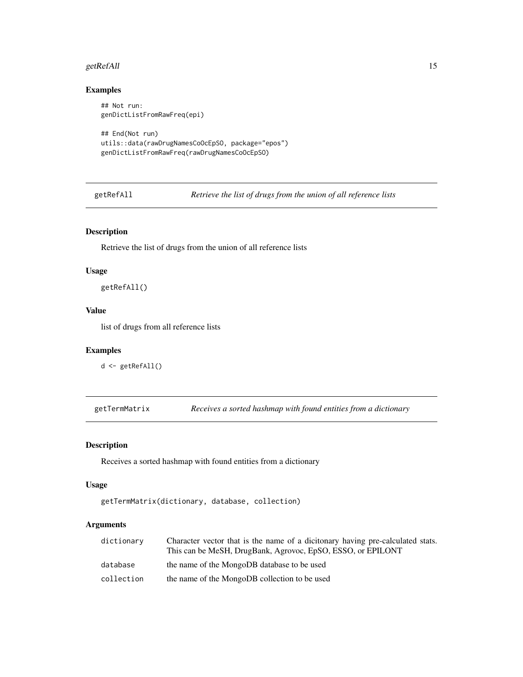#### <span id="page-14-0"></span>getRefAll 15

# Examples

```
## Not run:
genDictListFromRawFreq(epi)
## End(Not run)
utils::data(rawDrugNamesCoOcEpSO, package="epos")
genDictListFromRawFreq(rawDrugNamesCoOcEpSO)
```
getRefAll *Retrieve the list of drugs from the union of all reference lists*

# Description

Retrieve the list of drugs from the union of all reference lists

#### Usage

getRefAll()

# Value

list of drugs from all reference lists

# Examples

```
d <- getRefAll()
```
getTermMatrix *Receives a sorted hashmap with found entities from a dictionary*

# Description

Receives a sorted hashmap with found entities from a dictionary

#### Usage

```
getTermMatrix(dictionary, database, collection)
```
# Arguments

| dictionary | Character vector that is the name of a dicitonary having pre-calculated stats.<br>This can be MeSH, DrugBank, Agrovoc, EpSO, ESSO, or EPILONT |
|------------|-----------------------------------------------------------------------------------------------------------------------------------------------|
| database   | the name of the MongoDB database to be used                                                                                                   |
| collection | the name of the MongoDB collection to be used                                                                                                 |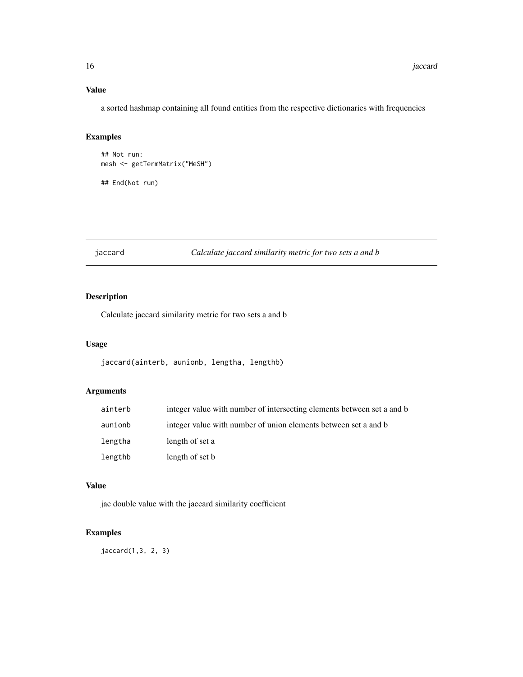# <span id="page-15-0"></span>Value

a sorted hashmap containing all found entities from the respective dictionaries with frequencies

# Examples

```
## Not run:
mesh <- getTermMatrix("MeSH")
## End(Not run)
```
jaccard *Calculate jaccard similarity metric for two sets a and b*

# Description

Calculate jaccard similarity metric for two sets a and b

#### Usage

jaccard(ainterb, aunionb, lengtha, lengthb)

# Arguments

| ainterb | integer value with number of intersecting elements between set a and b |
|---------|------------------------------------------------------------------------|
| aunionb | integer value with number of union elements between set a and b        |
| lengtha | length of set a                                                        |
| lengthb | length of set b                                                        |

#### Value

jac double value with the jaccard similarity coefficient

## Examples

jaccard(1,3, 2, 3)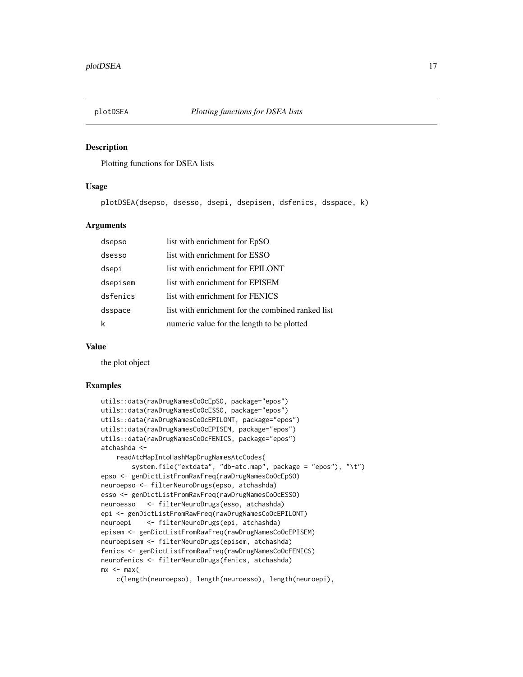<span id="page-16-0"></span>

Plotting functions for DSEA lists

# Usage

plotDSEA(dsepso, dsesso, dsepi, dsepisem, dsfenics, dsspace, k)

# Arguments

| dsepso   | list with enrichment for EpSO                     |
|----------|---------------------------------------------------|
| dsesso   | list with enrichment for ESSO                     |
| dsepi    | list with enrichment for EPILONT                  |
| dsepisem | list with enrichment for EPISEM                   |
| dsfenics | list with enrichment for FENICS                   |
| dsspace  | list with enrichment for the combined ranked list |
|          | numeric value for the length to be plotted        |

#### Value

the plot object

```
utils::data(rawDrugNamesCoOcEpSO, package="epos")
utils::data(rawDrugNamesCoOcESSO, package="epos")
utils::data(rawDrugNamesCoOcEPILONT, package="epos")
utils::data(rawDrugNamesCoOcEPISEM, package="epos")
utils::data(rawDrugNamesCoOcFENICS, package="epos")
atchashda <-
   readAtcMapIntoHashMapDrugNamesAtcCodes(
       system.file("extdata", "db-atc.map", package = "epos"), "\t")
epso <- genDictListFromRawFreq(rawDrugNamesCoOcEpSO)
neuroepso <- filterNeuroDrugs(epso, atchashda)
esso <- genDictListFromRawFreq(rawDrugNamesCoOcESSO)
neuroesso <- filterNeuroDrugs(esso, atchashda)
epi <- genDictListFromRawFreq(rawDrugNamesCoOcEPILONT)
neuroepi <- filterNeuroDrugs(epi, atchashda)
episem <- genDictListFromRawFreq(rawDrugNamesCoOcEPISEM)
neuroepisem <- filterNeuroDrugs(episem, atchashda)
fenics <- genDictListFromRawFreq(rawDrugNamesCoOcFENICS)
neurofenics <- filterNeuroDrugs(fenics, atchashda)
mx < - max(
   c(length(neuroepso), length(neuroesso), length(neuroepi),
```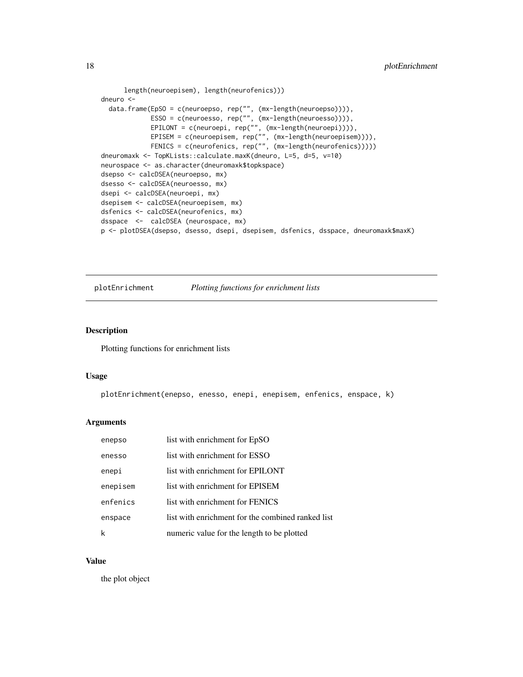```
length(neuroepisem), length(neurofenics)))
dneuro <-
  data.frame(EpSO = c(neuroepso, rep("", (mx-length(neuroepso)))),
             ESSO = c(neuroesso, rep("", (mx-length(neuroesso)))),
             EPILONT = c(neuroepi, rep("", (mx-length(neuroepi)))),
             EPISEM = c(neuroepisem, rep("", (mx-length(neuroepisem)))),
             FENICS = c(neurofenics, rep("", (mx-length(neurofenics)))))
dneuromaxk <- TopKLists::calculate.maxK(dneuro, L=5, d=5, v=10)
neurospace <- as.character(dneuromaxk$topkspace)
dsepso <- calcDSEA(neuroepso, mx)
dsesso <- calcDSEA(neuroesso, mx)
dsepi <- calcDSEA(neuroepi, mx)
dsepisem <- calcDSEA(neuroepisem, mx)
dsfenics <- calcDSEA(neurofenics, mx)
dsspace <- calcDSEA (neurospace, mx)
p <- plotDSEA(dsepso, dsesso, dsepi, dsepisem, dsfenics, dsspace, dneuromaxk$maxK)
```
plotEnrichment *Plotting functions for enrichment lists*

# Description

Plotting functions for enrichment lists

#### Usage

plotEnrichment(enepso, enesso, enepi, enepisem, enfenics, enspace, k)

#### Arguments

| enepso   | list with enrichment for EpSO                     |
|----------|---------------------------------------------------|
| enesso   | list with enrichment for ESSO                     |
| enepi    | list with enrichment for EPILONT                  |
| enepisem | list with enrichment for EPISEM                   |
| enfenics | list with enrichment for FENICS                   |
| enspace  | list with enrichment for the combined ranked list |
|          | numeric value for the length to be plotted        |

# Value

the plot object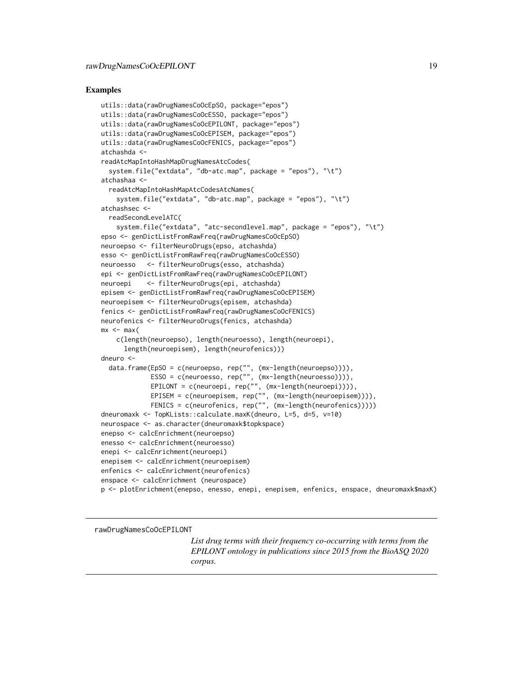#### <span id="page-18-0"></span>Examples

```
utils::data(rawDrugNamesCoOcEpSO, package="epos")
utils::data(rawDrugNamesCoOcESSO, package="epos")
utils::data(rawDrugNamesCoOcEPILONT, package="epos")
utils::data(rawDrugNamesCoOcEPISEM, package="epos")
utils::data(rawDrugNamesCoOcFENICS, package="epos")
atchashda <-
readAtcMapIntoHashMapDrugNamesAtcCodes(
 system.file("extdata", "db-atc.map", package = "epos"), "\t")
atchashaa <-
 readAtcMapIntoHashMapAtcCodesAtcNames(
    system.file("extdata", "db-atc.map", package = "epos"), "\t")
atchashsec <-
 readSecondLevelATC(
   system.file("extdata", "atc-secondlevel.map", package = "epos"), "\t")
epso <- genDictListFromRawFreq(rawDrugNamesCoOcEpSO)
neuroepso <- filterNeuroDrugs(epso, atchashda)
esso <- genDictListFromRawFreq(rawDrugNamesCoOcESSO)
neuroesso <- filterNeuroDrugs(esso, atchashda)
epi <- genDictListFromRawFreq(rawDrugNamesCoOcEPILONT)
neuroepi <- filterNeuroDrugs(epi, atchashda)
episem <- genDictListFromRawFreq(rawDrugNamesCoOcEPISEM)
neuroepisem <- filterNeuroDrugs(episem, atchashda)
fenics <- genDictListFromRawFreq(rawDrugNamesCoOcFENICS)
neurofenics <- filterNeuroDrugs(fenics, atchashda)
mx < - max(
   c(length(neuroepso), length(neuroesso), length(neuroepi),
     length(neuroepisem), length(neurofenics)))
dneuro <-
 data.frame(EpSO = c(neuroepso, rep("", (mx-length(neuroepso)))),
             ESSO = c(neuroesso, rep("", (mx-length(neuroesso)))),
             EPILONT = c(neuroepi, rep("", (mx-length(neuroepi)))),
             EPISEM = c(neuroepisem, rep("", (mx-length(neuroepisem)))),
             FENICS = c(neurofenics, rep("", (mx-length(neurofenics)))))
dneuromaxk <- TopKLists::calculate.maxK(dneuro, L=5, d=5, v=10)
neurospace <- as.character(dneuromaxk$topkspace)
enepso <- calcEnrichment(neuroepso)
enesso <- calcEnrichment(neuroesso)
enepi <- calcEnrichment(neuroepi)
enepisem <- calcEnrichment(neuroepisem)
enfenics <- calcEnrichment(neurofenics)
enspace <- calcEnrichment (neurospace)
p <- plotEnrichment(enepso, enesso, enepi, enepisem, enfenics, enspace, dneuromaxk$maxK)
```
rawDrugNamesCoOcEPILONT

*List drug terms with their frequency co-occurring with terms from the EPILONT ontology in publications since 2015 from the BioASQ 2020 corpus.*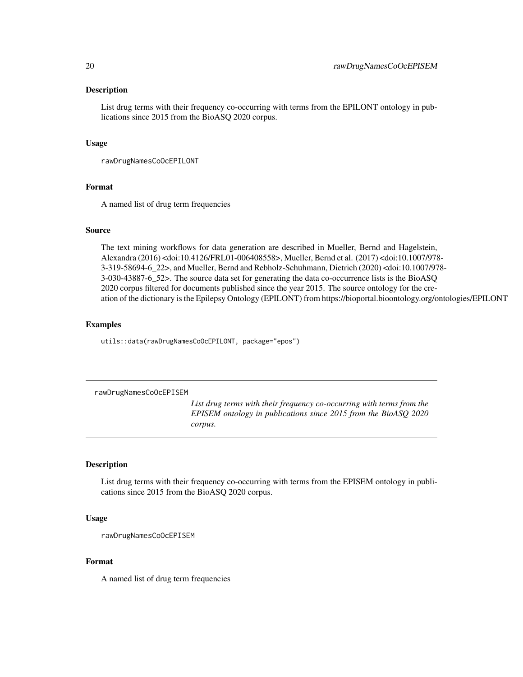<span id="page-19-0"></span>List drug terms with their frequency co-occurring with terms from the EPILONT ontology in publications since 2015 from the BioASQ 2020 corpus.

#### Usage

rawDrugNamesCoOcEPILONT

#### Format

A named list of drug term frequencies

### Source

The text mining workflows for data generation are described in Mueller, Bernd and Hagelstein, Alexandra (2016) <doi:10.4126/FRL01-006408558>, Mueller, Bernd et al. (2017) <doi:10.1007/978- 3-319-58694-6\_22>, and Mueller, Bernd and Rebholz-Schuhmann, Dietrich (2020) <doi:10.1007/978- 3-030-43887-6\_52>. The source data set for generating the data co-occurrence lists is the BioASQ 2020 corpus filtered for documents published since the year 2015. The source ontology for the creation of the dictionary is the Epilepsy Ontology (EPILONT) from https://bioportal.bioontology.org/ontologies/EPILONT

#### Examples

utils::data(rawDrugNamesCoOcEPILONT, package="epos")

rawDrugNamesCoOcEPISEM

*List drug terms with their frequency co-occurring with terms from the EPISEM ontology in publications since 2015 from the BioASQ 2020 corpus.*

# Description

List drug terms with their frequency co-occurring with terms from the EPISEM ontology in publications since 2015 from the BioASQ 2020 corpus.

#### Usage

rawDrugNamesCoOcEPISEM

#### Format

A named list of drug term frequencies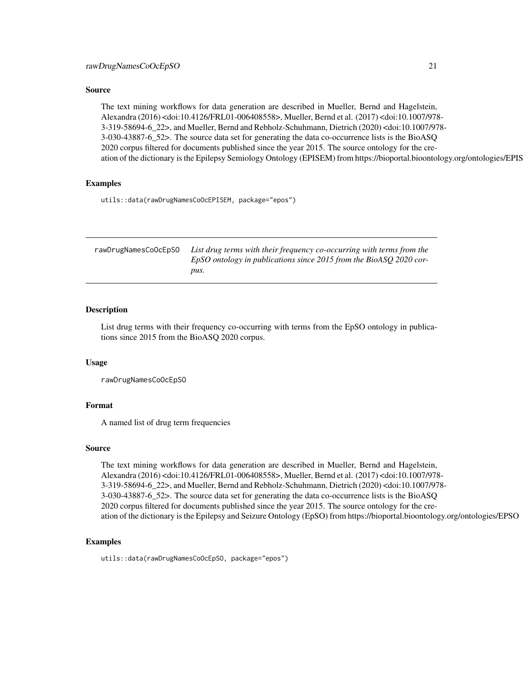#### <span id="page-20-0"></span>Source

The text mining workflows for data generation are described in Mueller, Bernd and Hagelstein, Alexandra (2016) <doi:10.4126/FRL01-006408558>, Mueller, Bernd et al. (2017) <doi:10.1007/978- 3-319-58694-6\_22>, and Mueller, Bernd and Rebholz-Schuhmann, Dietrich (2020) <doi:10.1007/978- 3-030-43887-6\_52>. The source data set for generating the data co-occurrence lists is the BioASQ 2020 corpus filtered for documents published since the year 2015. The source ontology for the creation of the dictionary is the Epilepsy Semiology Ontology (EPISEM) from https://bioportal.bioontology.org/ontologies/EPISEM

#### Examples

utils::data(rawDrugNamesCoOcEPISEM, package="epos")

| rawDrugNamesCoOcEpSO | List drug terms with their frequency co-occurring with terms from the |
|----------------------|-----------------------------------------------------------------------|
|                      | EpSO ontology in publications since 2015 from the BioASO 2020 cor-    |
|                      | DUS.                                                                  |

# Description

List drug terms with their frequency co-occurring with terms from the EpSO ontology in publications since 2015 from the BioASQ 2020 corpus.

#### Usage

rawDrugNamesCoOcEpSO

#### Format

A named list of drug term frequencies

#### Source

The text mining workflows for data generation are described in Mueller, Bernd and Hagelstein, Alexandra (2016) <doi:10.4126/FRL01-006408558>, Mueller, Bernd et al. (2017) <doi:10.1007/978- 3-319-58694-6\_22>, and Mueller, Bernd and Rebholz-Schuhmann, Dietrich (2020) <doi:10.1007/978- 3-030-43887-6\_52>. The source data set for generating the data co-occurrence lists is the BioASQ 2020 corpus filtered for documents published since the year 2015. The source ontology for the creation of the dictionary is the Epilepsy and Seizure Ontology (EpSO) from https://bioportal.bioontology.org/ontologies/EPSO

#### Examples

utils::data(rawDrugNamesCoOcEpSO, package="epos")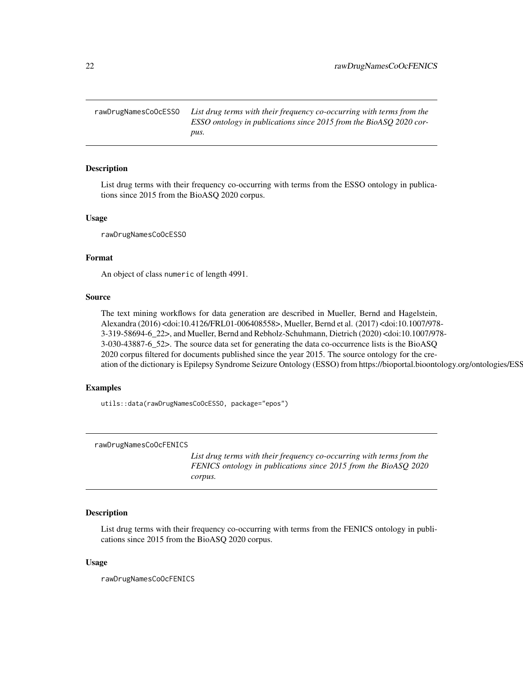<span id="page-21-0"></span>rawDrugNamesCoOcESSO *List drug terms with their frequency co-occurring with terms from the ESSO ontology in publications since 2015 from the BioASQ 2020 corpus.*

# Description

List drug terms with their frequency co-occurring with terms from the ESSO ontology in publications since 2015 from the BioASQ 2020 corpus.

#### Usage

rawDrugNamesCoOcESSO

#### Format

An object of class numeric of length 4991.

#### Source

The text mining workflows for data generation are described in Mueller, Bernd and Hagelstein, Alexandra (2016) <doi:10.4126/FRL01-006408558>, Mueller, Bernd et al. (2017) <doi:10.1007/978- 3-319-58694-6\_22>, and Mueller, Bernd and Rebholz-Schuhmann, Dietrich (2020) <doi:10.1007/978- 3-030-43887-6\_52>. The source data set for generating the data co-occurrence lists is the BioASQ 2020 corpus filtered for documents published since the year 2015. The source ontology for the creation of the dictionary is Epilepsy Syndrome Seizure Ontology (ESSO) from https://bioportal.bioontology.org/ontologies/ESSO

#### Examples

utils::data(rawDrugNamesCoOcESSO, package="epos")

rawDrugNamesCoOcFENICS

*List drug terms with their frequency co-occurring with terms from the FENICS ontology in publications since 2015 from the BioASQ 2020 corpus.*

# Description

List drug terms with their frequency co-occurring with terms from the FENICS ontology in publications since 2015 from the BioASQ 2020 corpus.

#### Usage

rawDrugNamesCoOcFENICS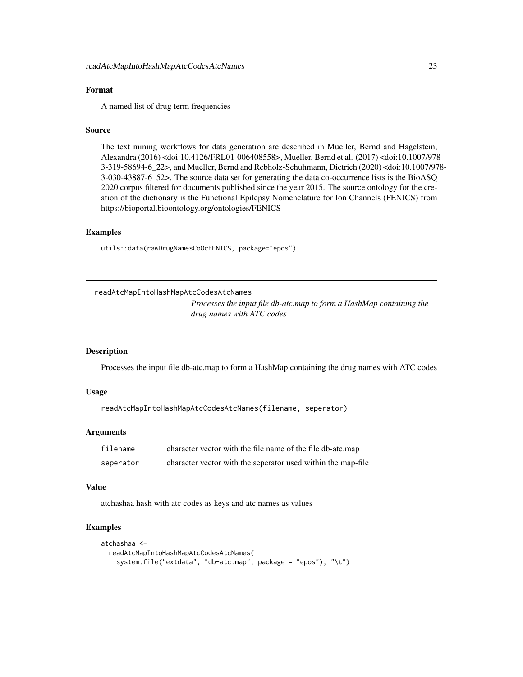### <span id="page-22-0"></span>Format

A named list of drug term frequencies

#### Source

The text mining workflows for data generation are described in Mueller, Bernd and Hagelstein, Alexandra (2016) <doi:10.4126/FRL01-006408558>, Mueller, Bernd et al. (2017) <doi:10.1007/978- 3-319-58694-6\_22>, and Mueller, Bernd and Rebholz-Schuhmann, Dietrich (2020) <doi:10.1007/978- 3-030-43887-6\_52>. The source data set for generating the data co-occurrence lists is the BioASQ 2020 corpus filtered for documents published since the year 2015. The source ontology for the creation of the dictionary is the Functional Epilepsy Nomenclature for Ion Channels (FENICS) from https://bioportal.bioontology.org/ontologies/FENICS

#### Examples

utils::data(rawDrugNamesCoOcFENICS, package="epos")

readAtcMapIntoHashMapAtcCodesAtcNames

*Processes the input file db-atc.map to form a HashMap containing the drug names with ATC codes*

#### **Description**

Processes the input file db-atc.map to form a HashMap containing the drug names with ATC codes

#### Usage

readAtcMapIntoHashMapAtcCodesAtcNames(filename, seperator)

#### Arguments

| filename  | character vector with the file name of the file db-atc.map   |
|-----------|--------------------------------------------------------------|
| seperator | character vector with the seperator used within the map-file |

#### Value

atchashaa hash with atc codes as keys and atc names as values

```
atchashaa <-
 readAtcMapIntoHashMapAtcCodesAtcNames(
    system.file("extdata", "db-atc.map", package = "epos"), "\t")
```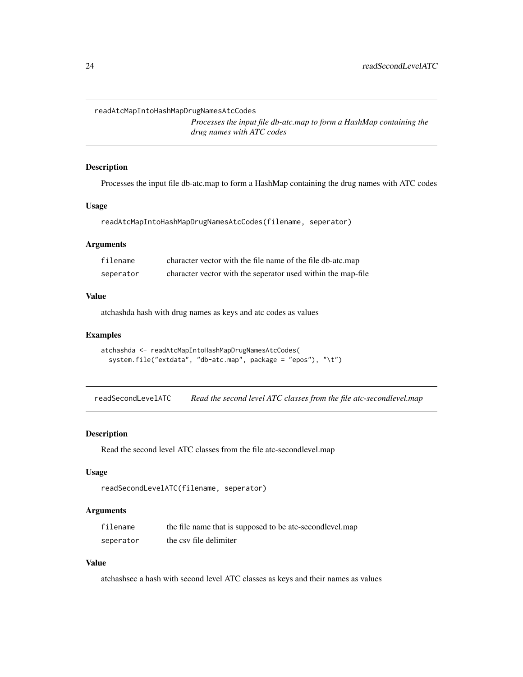<span id="page-23-0"></span>readAtcMapIntoHashMapDrugNamesAtcCodes

*Processes the input file db-atc.map to form a HashMap containing the drug names with ATC codes*

#### Description

Processes the input file db-atc.map to form a HashMap containing the drug names with ATC codes

#### Usage

readAtcMapIntoHashMapDrugNamesAtcCodes(filename, seperator)

# Arguments

| filename  | character vector with the file name of the file db-atc.map   |
|-----------|--------------------------------------------------------------|
| seperator | character vector with the seperator used within the map-file |

# Value

atchashda hash with drug names as keys and atc codes as values

# Examples

```
atchashda <- readAtcMapIntoHashMapDrugNamesAtcCodes(
 system.file("extdata", "db-atc.map", package = "epos"), "\t")
```
readSecondLevelATC *Read the second level ATC classes from the file atc-secondlevel.map*

#### Description

Read the second level ATC classes from the file atc-secondlevel.map

#### Usage

```
readSecondLevelATC(filename, seperator)
```
#### Arguments

| filename  | the file name that is supposed to be atc-secondlevel.map |
|-----------|----------------------------------------------------------|
| seperator | the csy file delimiter                                   |

# Value

atchashsec a hash with second level ATC classes as keys and their names as values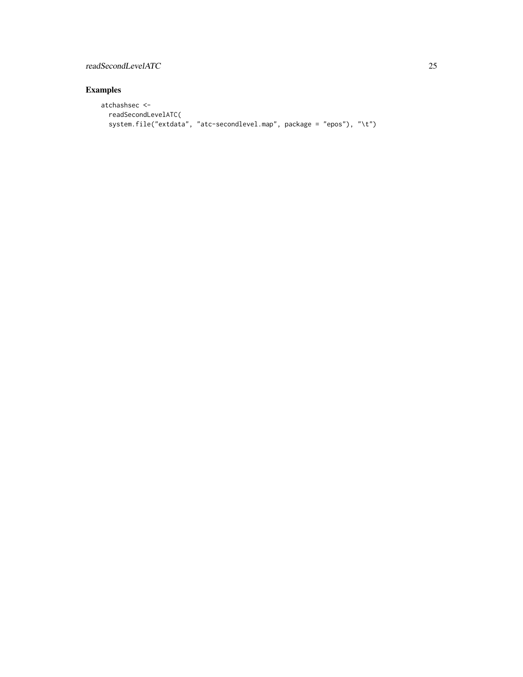# readSecondLevelATC 25

```
atchashsec <-
 readSecondLevelATC(
 system.file("extdata", "atc-secondlevel.map", package = "epos"), "\t")
```